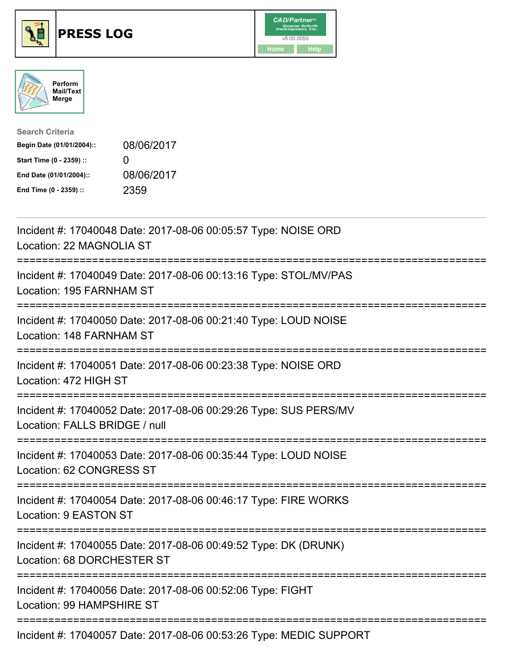





| <b>Search Criteria</b>    |                   |
|---------------------------|-------------------|
| Begin Date (01/01/2004):: | 08/06/2017        |
| Start Time (0 - 2359) ::  | $\mathbf{\Omega}$ |
| End Date (01/01/2004)::   | 08/06/2017        |
| End Time (0 - 2359) ::    | 2359              |

| Incident #: 17040048 Date: 2017-08-06 00:05:57 Type: NOISE ORD<br>Location: 22 MAGNOLIA ST                             |
|------------------------------------------------------------------------------------------------------------------------|
| Incident #: 17040049 Date: 2017-08-06 00:13:16 Type: STOL/MV/PAS<br>Location: 195 FARNHAM ST                           |
| Incident #: 17040050 Date: 2017-08-06 00:21:40 Type: LOUD NOISE<br>Location: 148 FARNHAM ST                            |
| Incident #: 17040051 Date: 2017-08-06 00:23:38 Type: NOISE ORD<br>Location: 472 HIGH ST                                |
| Incident #: 17040052 Date: 2017-08-06 00:29:26 Type: SUS PERS/MV<br>Location: FALLS BRIDGE / null                      |
| Incident #: 17040053 Date: 2017-08-06 00:35:44 Type: LOUD NOISE<br>Location: 62 CONGRESS ST                            |
| . <u>-----------------</u><br>Incident #: 17040054 Date: 2017-08-06 00:46:17 Type: FIRE WORKS<br>Location: 9 EASTON ST |
| Incident #: 17040055 Date: 2017-08-06 00:49:52 Type: DK (DRUNK)<br>Location: 68 DORCHESTER ST                          |
| Incident #: 17040056 Date: 2017-08-06 00:52:06 Type: FIGHT<br>Location: 99 HAMPSHIRE ST                                |
| Incident #: 17040057 Date: 2017-08-06 00:53:26 Type: MEDIC SUPPORT                                                     |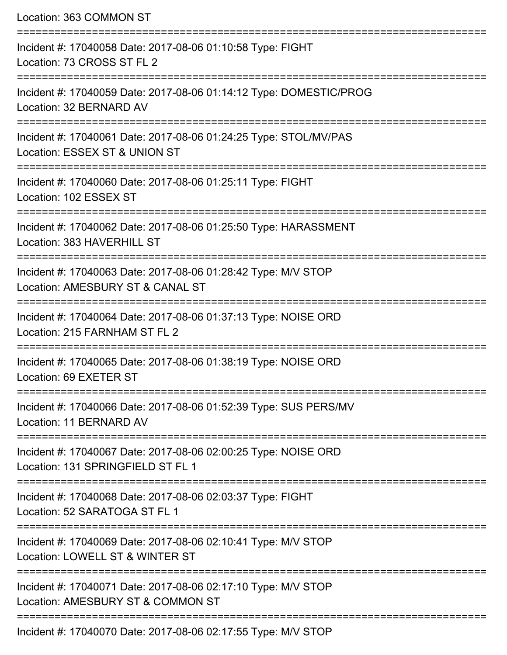| Location: 363 COMMON ST                                                                             |
|-----------------------------------------------------------------------------------------------------|
| Incident #: 17040058 Date: 2017-08-06 01:10:58 Type: FIGHT<br>Location: 73 CROSS ST FL 2            |
| Incident #: 17040059 Date: 2017-08-06 01:14:12 Type: DOMESTIC/PROG<br>Location: 32 BERNARD AV       |
| Incident #: 17040061 Date: 2017-08-06 01:24:25 Type: STOL/MV/PAS<br>Location: ESSEX ST & UNION ST   |
| Incident #: 17040060 Date: 2017-08-06 01:25:11 Type: FIGHT<br>Location: 102 ESSEX ST                |
| Incident #: 17040062 Date: 2017-08-06 01:25:50 Type: HARASSMENT<br>Location: 383 HAVERHILL ST       |
| Incident #: 17040063 Date: 2017-08-06 01:28:42 Type: M/V STOP<br>Location: AMESBURY ST & CANAL ST   |
| Incident #: 17040064 Date: 2017-08-06 01:37:13 Type: NOISE ORD<br>Location: 215 FARNHAM ST FL 2     |
| Incident #: 17040065 Date: 2017-08-06 01:38:19 Type: NOISE ORD<br>Location: 69 EXETER ST            |
| Incident #: 17040066 Date: 2017-08-06 01:52:39 Type: SUS PERS/MV<br>Location: 11 BERNARD AV         |
| Incident #: 17040067 Date: 2017-08-06 02:00:25 Type: NOISE ORD<br>Location: 131 SPRINGFIELD ST FL 1 |
| Incident #: 17040068 Date: 2017-08-06 02:03:37 Type: FIGHT<br>Location: 52 SARATOGA ST FL 1         |
| Incident #: 17040069 Date: 2017-08-06 02:10:41 Type: M/V STOP<br>Location: LOWELL ST & WINTER ST    |
| Incident #: 17040071 Date: 2017-08-06 02:17:10 Type: M/V STOP<br>Location: AMESBURY ST & COMMON ST  |
| $-1$ , $0.47.00.00.00.47.55 T$                                                                      |

Incident #: 17040070 Date: 2017-08-06 02:17:55 Type: M/V STOP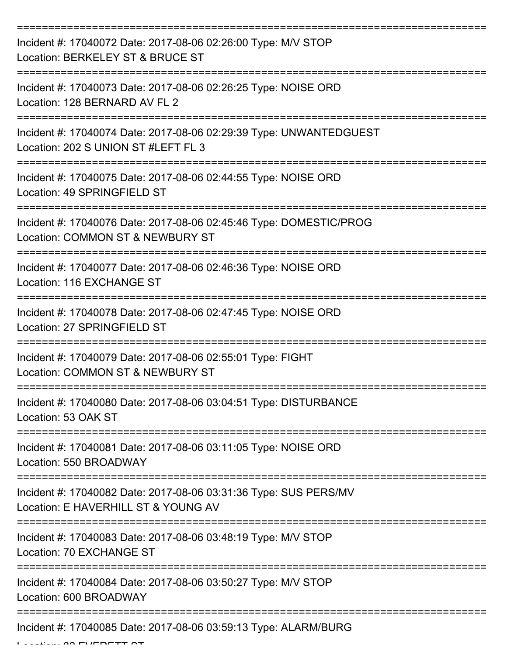| Incident #: 17040072 Date: 2017-08-06 02:26:00 Type: M/V STOP<br>Location: BERKELEY ST & BRUCE ST                |
|------------------------------------------------------------------------------------------------------------------|
| Incident #: 17040073 Date: 2017-08-06 02:26:25 Type: NOISE ORD<br>Location: 128 BERNARD AV FL 2                  |
| Incident #: 17040074 Date: 2017-08-06 02:29:39 Type: UNWANTEDGUEST<br>Location: 202 S UNION ST #LEFT FL 3        |
| Incident #: 17040075 Date: 2017-08-06 02:44:55 Type: NOISE ORD<br>Location: 49 SPRINGFIELD ST                    |
| Incident #: 17040076 Date: 2017-08-06 02:45:46 Type: DOMESTIC/PROG<br>Location: COMMON ST & NEWBURY ST           |
| =================<br>Incident #: 17040077 Date: 2017-08-06 02:46:36 Type: NOISE ORD<br>Location: 116 EXCHANGE ST |
| Incident #: 17040078 Date: 2017-08-06 02:47:45 Type: NOISE ORD<br>Location: 27 SPRINGFIELD ST                    |
| Incident #: 17040079 Date: 2017-08-06 02:55:01 Type: FIGHT<br>Location: COMMON ST & NEWBURY ST                   |
| Incident #: 17040080 Date: 2017-08-06 03:04:51 Type: DISTURBANCE<br>Location: 53 OAK ST                          |
| Incident #: 17040081 Date: 2017-08-06 03:11:05 Type: NOISE ORD<br>Location: 550 BROADWAY                         |
| Incident #: 17040082 Date: 2017-08-06 03:31:36 Type: SUS PERS/MV<br>Location: E HAVERHILL ST & YOUNG AV          |
| Incident #: 17040083 Date: 2017-08-06 03:48:19 Type: M/V STOP<br>Location: 70 EXCHANGE ST                        |
| Incident #: 17040084 Date: 2017-08-06 03:50:27 Type: M/V STOP<br>Location: 600 BROADWAY                          |
| Incident #: 17040085 Date: 2017-08-06 03:59:13 Type: ALARM/BURG                                                  |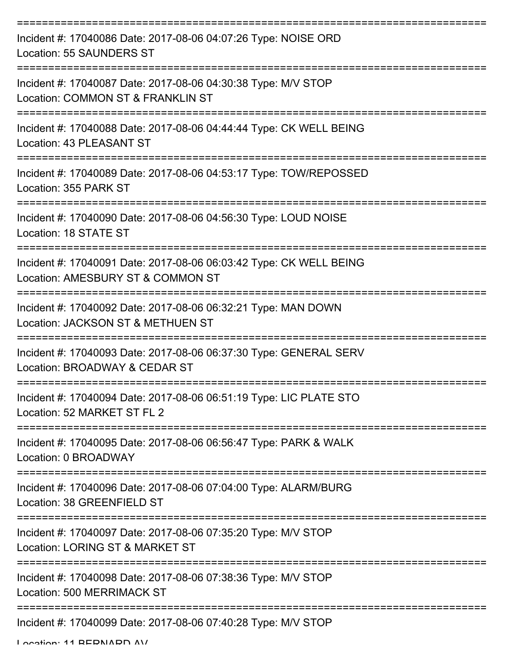| Incident #: 17040086 Date: 2017-08-06 04:07:26 Type: NOISE ORD<br>Location: 55 SAUNDERS ST              |
|---------------------------------------------------------------------------------------------------------|
| Incident #: 17040087 Date: 2017-08-06 04:30:38 Type: M/V STOP<br>Location: COMMON ST & FRANKLIN ST      |
| Incident #: 17040088 Date: 2017-08-06 04:44:44 Type: CK WELL BEING<br>Location: 43 PLEASANT ST          |
| Incident #: 17040089 Date: 2017-08-06 04:53:17 Type: TOW/REPOSSED<br>Location: 355 PARK ST              |
| Incident #: 17040090 Date: 2017-08-06 04:56:30 Type: LOUD NOISE<br>Location: 18 STATE ST                |
| Incident #: 17040091 Date: 2017-08-06 06:03:42 Type: CK WELL BEING<br>Location: AMESBURY ST & COMMON ST |
| Incident #: 17040092 Date: 2017-08-06 06:32:21 Type: MAN DOWN<br>Location: JACKSON ST & METHUEN ST      |
| Incident #: 17040093 Date: 2017-08-06 06:37:30 Type: GENERAL SERV<br>Location: BROADWAY & CEDAR ST      |
| Incident #: 17040094 Date: 2017-08-06 06:51:19 Type: LIC PLATE STO<br>Location: 52 MARKET ST FL 2       |
| Incident #: 17040095 Date: 2017-08-06 06:56:47 Type: PARK & WALK<br>Location: 0 BROADWAY                |
| Incident #: 17040096 Date: 2017-08-06 07:04:00 Type: ALARM/BURG<br>Location: 38 GREENFIELD ST           |
| Incident #: 17040097 Date: 2017-08-06 07:35:20 Type: M/V STOP<br>Location: LORING ST & MARKET ST        |
| Incident #: 17040098 Date: 2017-08-06 07:38:36 Type: M/V STOP<br>Location: 500 MERRIMACK ST             |
| Incident #: 17040099 Date: 2017-08-06 07:40:28 Type: M/V STOP                                           |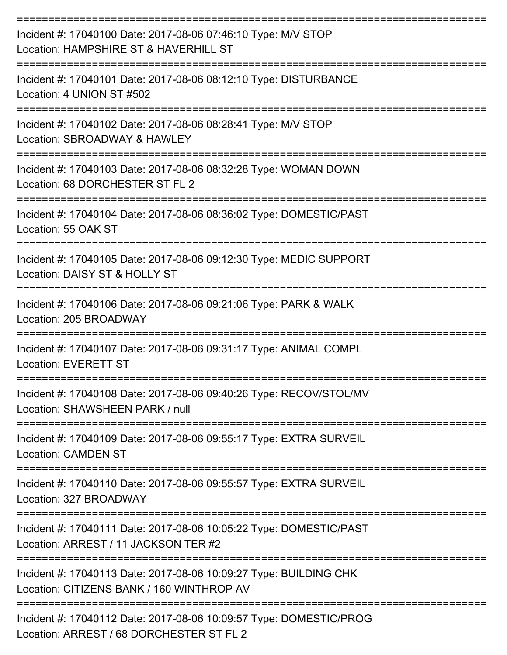| Incident #: 17040100 Date: 2017-08-06 07:46:10 Type: M/V STOP<br>Location: HAMPSHIRE ST & HAVERHILL ST<br>:=============== |
|----------------------------------------------------------------------------------------------------------------------------|
| Incident #: 17040101 Date: 2017-08-06 08:12:10 Type: DISTURBANCE<br>Location: 4 UNION ST #502                              |
| Incident #: 17040102 Date: 2017-08-06 08:28:41 Type: M/V STOP<br>Location: SBROADWAY & HAWLEY                              |
| Incident #: 17040103 Date: 2017-08-06 08:32:28 Type: WOMAN DOWN<br>Location: 68 DORCHESTER ST FL 2                         |
| Incident #: 17040104 Date: 2017-08-06 08:36:02 Type: DOMESTIC/PAST<br>Location: 55 OAK ST                                  |
| Incident #: 17040105 Date: 2017-08-06 09:12:30 Type: MEDIC SUPPORT<br>Location: DAISY ST & HOLLY ST                        |
| Incident #: 17040106 Date: 2017-08-06 09:21:06 Type: PARK & WALK<br>Location: 205 BROADWAY                                 |
| Incident #: 17040107 Date: 2017-08-06 09:31:17 Type: ANIMAL COMPL<br><b>Location: EVERETT ST</b>                           |
| Incident #: 17040108 Date: 2017-08-06 09:40:26 Type: RECOV/STOL/MV<br>Location: SHAWSHEEN PARK / null                      |
| Incident #: 17040109 Date: 2017-08-06 09:55:17 Type: EXTRA SURVEIL<br><b>Location: CAMDEN ST</b>                           |
| Incident #: 17040110 Date: 2017-08-06 09:55:57 Type: EXTRA SURVEIL<br>Location: 327 BROADWAY                               |
| Incident #: 17040111 Date: 2017-08-06 10:05:22 Type: DOMESTIC/PAST<br>Location: ARREST / 11 JACKSON TER #2                 |
| Incident #: 17040113 Date: 2017-08-06 10:09:27 Type: BUILDING CHK<br>Location: CITIZENS BANK / 160 WINTHROP AV             |
| Incident #: 17040112 Date: 2017-08-06 10:09:57 Type: DOMESTIC/PROG<br>Location: ARREST / 68 DORCHESTER ST FL 2             |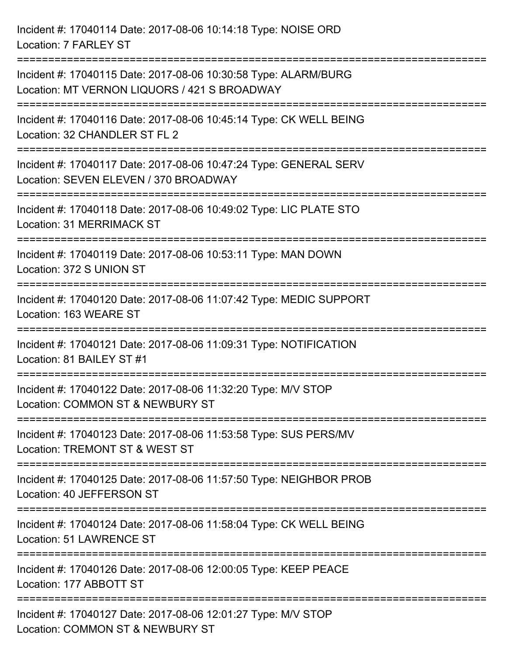Incident #: 17040114 Date: 2017-08-06 10:14:18 Type: NOISE ORD Location: 7 FARLEY ST =========================================================================== Incident #: 17040115 Date: 2017-08-06 10:30:58 Type: ALARM/BURG Location: MT VERNON LIQUORS / 421 S BROADWAY =========================================================================== Incident #: 17040116 Date: 2017-08-06 10:45:14 Type: CK WELL BEING Location: 32 CHANDLER ST FL 2 =========================================================================== Incident #: 17040117 Date: 2017-08-06 10:47:24 Type: GENERAL SERV Location: SEVEN ELEVEN / 370 BROADWAY =========================================================================== Incident #: 17040118 Date: 2017-08-06 10:49:02 Type: LIC PLATE STO Location: 31 MERRIMACK ST =========================================================================== Incident #: 17040119 Date: 2017-08-06 10:53:11 Type: MAN DOWN Location: 372 S UNION ST =========================================================================== Incident #: 17040120 Date: 2017-08-06 11:07:42 Type: MEDIC SUPPORT Location: 163 WEARE ST =========================================================================== Incident #: 17040121 Date: 2017-08-06 11:09:31 Type: NOTIFICATION Location: 81 BAILEY ST #1 =========================================================================== Incident #: 17040122 Date: 2017-08-06 11:32:20 Type: M/V STOP Location: COMMON ST & NEWBURY ST =========================================================================== Incident #: 17040123 Date: 2017-08-06 11:53:58 Type: SUS PERS/MV Location: TREMONT ST & WEST ST =========================================================================== Incident #: 17040125 Date: 2017-08-06 11:57:50 Type: NEIGHBOR PROB Location: 40 JEFFERSON ST =========================================================================== Incident #: 17040124 Date: 2017-08-06 11:58:04 Type: CK WELL BEING Location: 51 LAWRENCE ST =========================================================================== Incident #: 17040126 Date: 2017-08-06 12:00:05 Type: KEEP PEACE Location: 177 ABBOTT ST =========================================================================== Incident #: 17040127 Date: 2017-08-06 12:01:27 Type: M/V STOP Location: COMMON ST & NEWBURY ST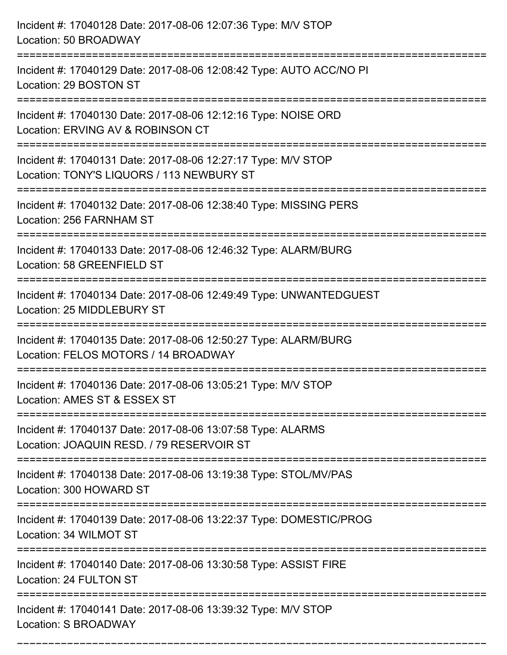| Incident #: 17040128 Date: 2017-08-06 12:07:36 Type: M/V STOP<br>Location: 50 BROADWAY                                            |
|-----------------------------------------------------------------------------------------------------------------------------------|
| Incident #: 17040129 Date: 2017-08-06 12:08:42 Type: AUTO ACC/NO PI<br>Location: 29 BOSTON ST                                     |
| Incident #: 17040130 Date: 2017-08-06 12:12:16 Type: NOISE ORD<br>Location: ERVING AV & ROBINSON CT<br>:=======================   |
| Incident #: 17040131 Date: 2017-08-06 12:27:17 Type: M/V STOP<br>Location: TONY'S LIQUORS / 113 NEWBURY ST                        |
| Incident #: 17040132 Date: 2017-08-06 12:38:40 Type: MISSING PERS<br>Location: 256 FARNHAM ST                                     |
| Incident #: 17040133 Date: 2017-08-06 12:46:32 Type: ALARM/BURG<br>Location: 58 GREENFIELD ST                                     |
| Incident #: 17040134 Date: 2017-08-06 12:49:49 Type: UNWANTEDGUEST<br>Location: 25 MIDDLEBURY ST                                  |
| Incident #: 17040135 Date: 2017-08-06 12:50:27 Type: ALARM/BURG<br>Location: FELOS MOTORS / 14 BROADWAY                           |
| Incident #: 17040136 Date: 2017-08-06 13:05:21 Type: M/V STOP<br>Location: AMES ST & ESSEX ST                                     |
| Incident #: 17040137 Date: 2017-08-06 13:07:58 Type: ALARMS<br>Location: JOAQUIN RESD. / 79 RESERVOIR ST<br>--------------------- |
| Incident #: 17040138 Date: 2017-08-06 13:19:38 Type: STOL/MV/PAS<br>Location: 300 HOWARD ST                                       |
| ======================<br>Incident #: 17040139 Date: 2017-08-06 13:22:37 Type: DOMESTIC/PROG<br>Location: 34 WILMOT ST            |
| Incident #: 17040140 Date: 2017-08-06 13:30:58 Type: ASSIST FIRE<br>Location: 24 FULTON ST                                        |
| Incident #: 17040141 Date: 2017-08-06 13:39:32 Type: M/V STOP<br>Location: S BROADWAY                                             |

===========================================================================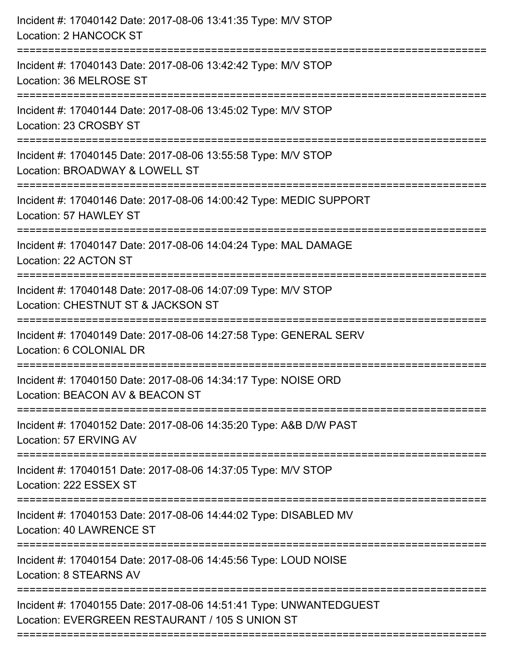| Incident #: 17040142 Date: 2017-08-06 13:41:35 Type: M/V STOP<br>Location: 2 HANCOCK ST                                      |
|------------------------------------------------------------------------------------------------------------------------------|
| Incident #: 17040143 Date: 2017-08-06 13:42:42 Type: M/V STOP<br>Location: 36 MELROSE ST                                     |
| Incident #: 17040144 Date: 2017-08-06 13:45:02 Type: M/V STOP<br>Location: 23 CROSBY ST                                      |
| Incident #: 17040145 Date: 2017-08-06 13:55:58 Type: M/V STOP<br>Location: BROADWAY & LOWELL ST                              |
| Incident #: 17040146 Date: 2017-08-06 14:00:42 Type: MEDIC SUPPORT<br>Location: 57 HAWLEY ST<br>=========================    |
| Incident #: 17040147 Date: 2017-08-06 14:04:24 Type: MAL DAMAGE<br>Location: 22 ACTON ST                                     |
| Incident #: 17040148 Date: 2017-08-06 14:07:09 Type: M/V STOP<br>Location: CHESTNUT ST & JACKSON ST<br>===================== |
| Incident #: 17040149 Date: 2017-08-06 14:27:58 Type: GENERAL SERV<br>Location: 6 COLONIAL DR                                 |
| Incident #: 17040150 Date: 2017-08-06 14:34:17 Type: NOISE ORD<br>Location: BEACON AV & BEACON ST                            |
| Incident #: 17040152 Date: 2017-08-06 14:35:20 Type: A&B D/W PAST<br>Location: 57 ERVING AV                                  |
| Incident #: 17040151 Date: 2017-08-06 14:37:05 Type: M/V STOP<br>Location: 222 ESSEX ST                                      |
| Incident #: 17040153 Date: 2017-08-06 14:44:02 Type: DISABLED MV<br>Location: 40 LAWRENCE ST                                 |
| Incident #: 17040154 Date: 2017-08-06 14:45:56 Type: LOUD NOISE<br>Location: 8 STEARNS AV                                    |
| Incident #: 17040155 Date: 2017-08-06 14:51:41 Type: UNWANTEDGUEST<br>Location: EVERGREEN RESTAURANT / 105 S UNION ST        |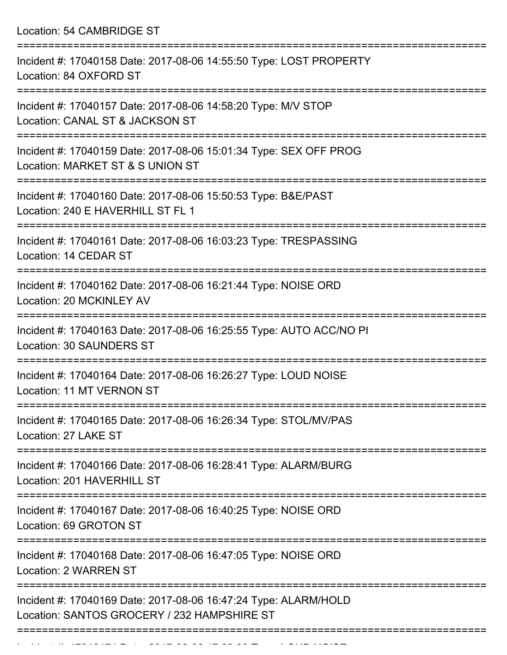Location: 54 CAMBRIDGE ST

| Incident #: 17040158 Date: 2017-08-06 14:55:50 Type: LOST PROPERTY<br>Location: 84 OXFORD ST                   |
|----------------------------------------------------------------------------------------------------------------|
| Incident #: 17040157 Date: 2017-08-06 14:58:20 Type: M/V STOP<br>Location: CANAL ST & JACKSON ST               |
| Incident #: 17040159 Date: 2017-08-06 15:01:34 Type: SEX OFF PROG<br>Location: MARKET ST & S UNION ST          |
| Incident #: 17040160 Date: 2017-08-06 15:50:53 Type: B&E/PAST<br>Location: 240 E HAVERHILL ST FL 1             |
| Incident #: 17040161 Date: 2017-08-06 16:03:23 Type: TRESPASSING<br>Location: 14 CEDAR ST                      |
| Incident #: 17040162 Date: 2017-08-06 16:21:44 Type: NOISE ORD<br>Location: 20 MCKINLEY AV                     |
| Incident #: 17040163 Date: 2017-08-06 16:25:55 Type: AUTO ACC/NO PI<br><b>Location: 30 SAUNDERS ST</b>         |
| Incident #: 17040164 Date: 2017-08-06 16:26:27 Type: LOUD NOISE<br><b>Location: 11 MT VERNON ST</b>            |
| Incident #: 17040165 Date: 2017-08-06 16:26:34 Type: STOL/MV/PAS<br>Location: 27 LAKE ST                       |
| Incident #: 17040166 Date: 2017-08-06 16:28:41 Type: ALARM/BURG<br>Location: 201 HAVERHILL ST                  |
| Incident #: 17040167 Date: 2017-08-06 16:40:25 Type: NOISE ORD<br>Location: 69 GROTON ST                       |
| Incident #: 17040168 Date: 2017-08-06 16:47:05 Type: NOISE ORD<br>Location: 2 WARREN ST                        |
| Incident #: 17040169 Date: 2017-08-06 16:47:24 Type: ALARM/HOLD<br>Location: SANTOS GROCERY / 232 HAMPSHIRE ST |
|                                                                                                                |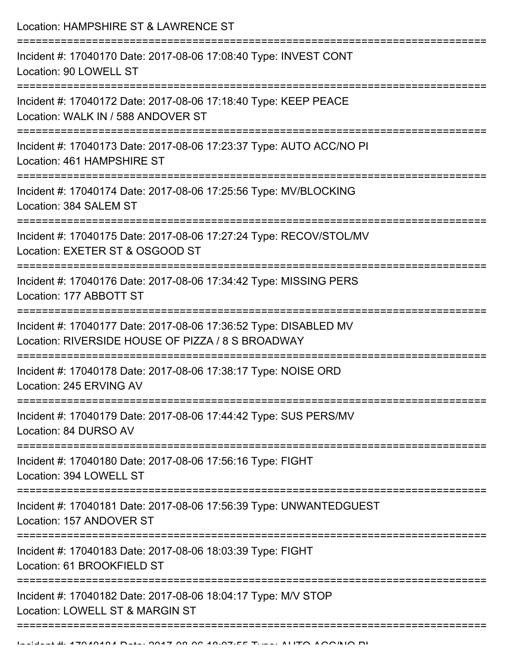Location: HAMPSHIRE ST & LAWRENCE ST =========================================================================== Incident #: 17040170 Date: 2017-08-06 17:08:40 Type: INVEST CONT Location: 90 LOWELL ST =========================================================================== Incident #: 17040172 Date: 2017-08-06 17:18:40 Type: KEEP PEACE Location: WALK IN / 588 ANDOVER ST =========================================================================== Incident #: 17040173 Date: 2017-08-06 17:23:37 Type: AUTO ACC/NO PI Location: 461 HAMPSHIRE ST =========================================================================== Incident #: 17040174 Date: 2017-08-06 17:25:56 Type: MV/BLOCKING Location: 384 SALEM ST =========================================================================== Incident #: 17040175 Date: 2017-08-06 17:27:24 Type: RECOV/STOL/MV Location: EXETER ST & OSGOOD ST =========================================================================== Incident #: 17040176 Date: 2017-08-06 17:34:42 Type: MISSING PERS Location: 177 ABBOTT ST =========================================================================== Incident #: 17040177 Date: 2017-08-06 17:36:52 Type: DISABLED MV Location: RIVERSIDE HOUSE OF PIZZA / 8 S BROADWAY =========================================================================== Incident #: 17040178 Date: 2017-08-06 17:38:17 Type: NOISE ORD Location: 245 ERVING AV =========================================================================== Incident #: 17040179 Date: 2017-08-06 17:44:42 Type: SUS PERS/MV Location: 84 DURSO AV =========================================================================== Incident #: 17040180 Date: 2017-08-06 17:56:16 Type: FIGHT Location: 394 LOWELL ST =========================================================================== Incident #: 17040181 Date: 2017-08-06 17:56:39 Type: UNWANTEDGUEST Location: 157 ANDOVER ST =========================================================================== Incident #: 17040183 Date: 2017-08-06 18:03:39 Type: FIGHT Location: 61 BROOKFIFLD ST =========================================================================== Incident #: 17040182 Date: 2017-08-06 18:04:17 Type: M/V STOP Location: LOWELL ST & MARGIN ST ===========================================================================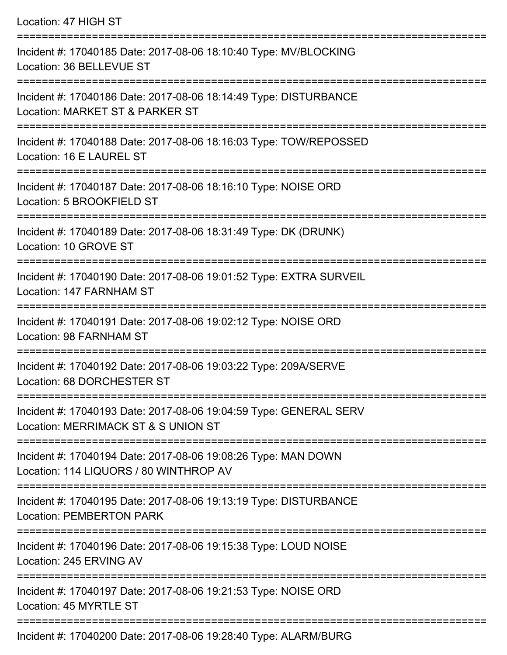Location: 47 HIGH ST =========================================================================== Incident #: 17040185 Date: 2017-08-06 18:10:40 Type: MV/BLOCKING Location: 36 BELLEVUE ST =========================================================================== Incident #: 17040186 Date: 2017-08-06 18:14:49 Type: DISTURBANCE Location: MARKET ST & PARKER ST =========================================================================== Incident #: 17040188 Date: 2017-08-06 18:16:03 Type: TOW/REPOSSED Location: 16 E LAUREL ST =========================================================================== Incident #: 17040187 Date: 2017-08-06 18:16:10 Type: NOISE ORD Location: 5 BROOKFIELD ST =========================================================================== Incident #: 17040189 Date: 2017-08-06 18:31:49 Type: DK (DRUNK) Location: 10 GROVE ST =========================================================================== Incident #: 17040190 Date: 2017-08-06 19:01:52 Type: EXTRA SURVEIL Location: 147 FARNHAM ST =========================================================================== Incident #: 17040191 Date: 2017-08-06 19:02:12 Type: NOISE ORD Location: 98 FARNHAM ST =========================================================================== Incident #: 17040192 Date: 2017-08-06 19:03:22 Type: 209A/SERVE Location: 68 DORCHESTER ST =========================================================================== Incident #: 17040193 Date: 2017-08-06 19:04:59 Type: GENERAL SERV Location: MERRIMACK ST & S UNION ST =========================================================================== Incident #: 17040194 Date: 2017-08-06 19:08:26 Type: MAN DOWN Location: 114 LIQUORS / 80 WINTHROP AV =========================================================================== Incident #: 17040195 Date: 2017-08-06 19:13:19 Type: DISTURBANCE Location: PEMBERTON PARK =========================================================================== Incident #: 17040196 Date: 2017-08-06 19:15:38 Type: LOUD NOISE Location: 245 ERVING AV =========================================================================== Incident #: 17040197 Date: 2017-08-06 19:21:53 Type: NOISE ORD Location: 45 MYRTLE ST ===========================================================================

Incident #: 17040200 Date: 2017-08-06 19:28:40 Type: ALARM/BURG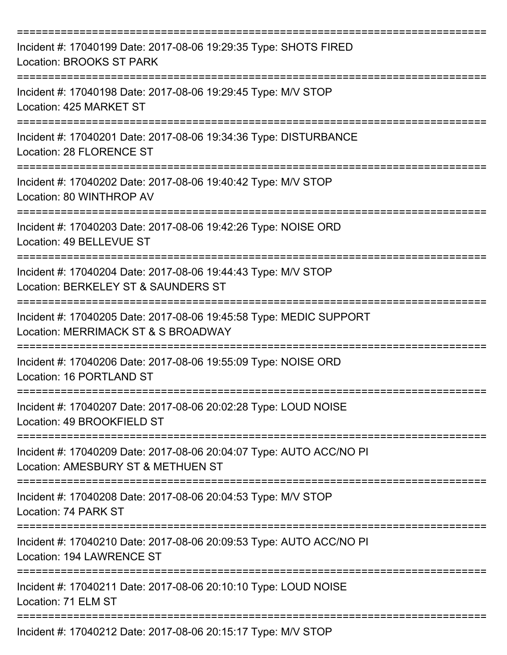| Incident #: 17040199 Date: 2017-08-06 19:29:35 Type: SHOTS FIRED<br><b>Location: BROOKS ST PARK</b>                          |
|------------------------------------------------------------------------------------------------------------------------------|
| Incident #: 17040198 Date: 2017-08-06 19:29:45 Type: M/V STOP<br>Location: 425 MARKET ST                                     |
| Incident #: 17040201 Date: 2017-08-06 19:34:36 Type: DISTURBANCE<br>Location: 28 FLORENCE ST                                 |
| Incident #: 17040202 Date: 2017-08-06 19:40:42 Type: M/V STOP<br>Location: 80 WINTHROP AV                                    |
| Incident #: 17040203 Date: 2017-08-06 19:42:26 Type: NOISE ORD<br>Location: 49 BELLEVUE ST<br>============================== |
| Incident #: 17040204 Date: 2017-08-06 19:44:43 Type: M/V STOP<br>Location: BERKELEY ST & SAUNDERS ST                         |
| Incident #: 17040205 Date: 2017-08-06 19:45:58 Type: MEDIC SUPPORT<br>Location: MERRIMACK ST & S BROADWAY                    |
| Incident #: 17040206 Date: 2017-08-06 19:55:09 Type: NOISE ORD<br>Location: 16 PORTLAND ST                                   |
| Incident #: 17040207 Date: 2017-08-06 20:02:28 Type: LOUD NOISE<br>Location: 49 BROOKFIELD ST                                |
| Incident #: 17040209 Date: 2017-08-06 20:04:07 Type: AUTO ACC/NO PI<br>Location: AMESBURY ST & METHUEN ST                    |
| Incident #: 17040208 Date: 2017-08-06 20:04:53 Type: M/V STOP<br>Location: 74 PARK ST                                        |
| Incident #: 17040210 Date: 2017-08-06 20:09:53 Type: AUTO ACC/NO PI<br>Location: 194 LAWRENCE ST                             |
| Incident #: 17040211 Date: 2017-08-06 20:10:10 Type: LOUD NOISE<br>Location: 71 ELM ST                                       |
| Incident #: 17040212 Date: 2017-08-06 20:15:17 Type: M/V STOP                                                                |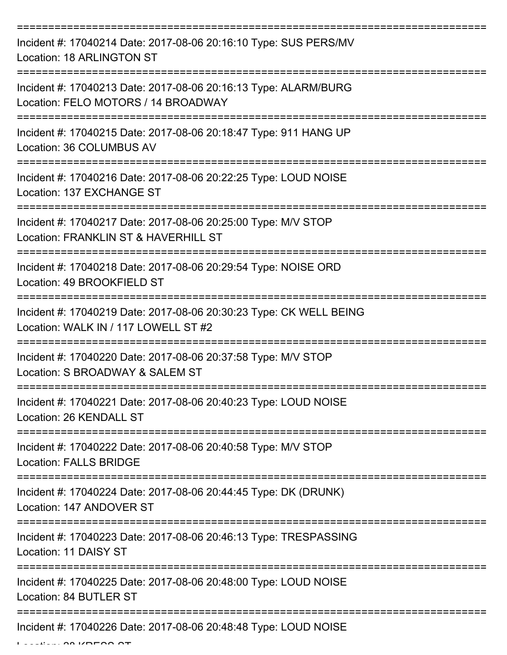| Incident #: 17040214 Date: 2017-08-06 20:16:10 Type: SUS PERS/MV<br><b>Location: 18 ARLINGTON ST</b>       |
|------------------------------------------------------------------------------------------------------------|
| Incident #: 17040213 Date: 2017-08-06 20:16:13 Type: ALARM/BURG<br>Location: FELO MOTORS / 14 BROADWAY     |
| Incident #: 17040215 Date: 2017-08-06 20:18:47 Type: 911 HANG UP<br>Location: 36 COLUMBUS AV               |
| Incident #: 17040216 Date: 2017-08-06 20:22:25 Type: LOUD NOISE<br>Location: 137 EXCHANGE ST               |
| Incident #: 17040217 Date: 2017-08-06 20:25:00 Type: M/V STOP<br>Location: FRANKLIN ST & HAVERHILL ST      |
| Incident #: 17040218 Date: 2017-08-06 20:29:54 Type: NOISE ORD<br>Location: 49 BROOKFIELD ST               |
| Incident #: 17040219 Date: 2017-08-06 20:30:23 Type: CK WELL BEING<br>Location: WALK IN / 117 LOWELL ST #2 |
| Incident #: 17040220 Date: 2017-08-06 20:37:58 Type: M/V STOP<br>Location: S BROADWAY & SALEM ST           |
| Incident #: 17040221 Date: 2017-08-06 20:40:23 Type: LOUD NOISE<br>Location: 26 KENDALL ST                 |
| Incident #: 17040222 Date: 2017-08-06 20:40:58 Type: M/V STOP<br><b>Location: FALLS BRIDGE</b>             |
| Incident #: 17040224 Date: 2017-08-06 20:44:45 Type: DK (DRUNK)<br>Location: 147 ANDOVER ST                |
| Incident #: 17040223 Date: 2017-08-06 20:46:13 Type: TRESPASSING<br>Location: 11 DAISY ST                  |
| Incident #: 17040225 Date: 2017-08-06 20:48:00 Type: LOUD NOISE<br>Location: 84 BUTLER ST                  |
| Incident #: 17040226 Date: 2017-08-06 20:48:48 Type: LOUD NOISE                                            |

Location: 28 KRESS ST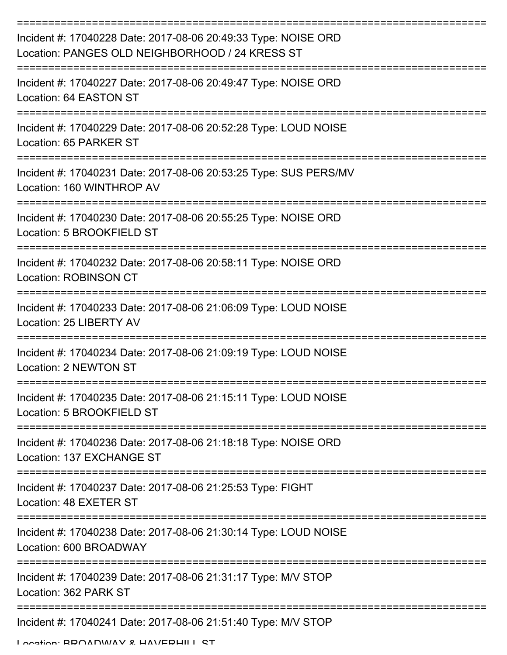| Incident #: 17040228 Date: 2017-08-06 20:49:33 Type: NOISE ORD<br>Location: PANGES OLD NEIGHBORHOOD / 24 KRESS ST |
|-------------------------------------------------------------------------------------------------------------------|
| Incident #: 17040227 Date: 2017-08-06 20:49:47 Type: NOISE ORD<br>Location: 64 EASTON ST                          |
| Incident #: 17040229 Date: 2017-08-06 20:52:28 Type: LOUD NOISE<br>Location: 65 PARKER ST                         |
| Incident #: 17040231 Date: 2017-08-06 20:53:25 Type: SUS PERS/MV<br>Location: 160 WINTHROP AV                     |
| Incident #: 17040230 Date: 2017-08-06 20:55:25 Type: NOISE ORD<br>Location: 5 BROOKFIELD ST                       |
| Incident #: 17040232 Date: 2017-08-06 20:58:11 Type: NOISE ORD<br><b>Location: ROBINSON CT</b>                    |
| Incident #: 17040233 Date: 2017-08-06 21:06:09 Type: LOUD NOISE<br>Location: 25 LIBERTY AV                        |
| Incident #: 17040234 Date: 2017-08-06 21:09:19 Type: LOUD NOISE<br>Location: 2 NEWTON ST                          |
| Incident #: 17040235 Date: 2017-08-06 21:15:11 Type: LOUD NOISE<br>Location: 5 BROOKFIELD ST                      |
| Incident #: 17040236 Date: 2017-08-06 21:18:18 Type: NOISE ORD<br>Location: 137 EXCHANGE ST                       |
| Incident #: 17040237 Date: 2017-08-06 21:25:53 Type: FIGHT<br>Location: 48 EXETER ST                              |
| Incident #: 17040238 Date: 2017-08-06 21:30:14 Type: LOUD NOISE<br>Location: 600 BROADWAY                         |
| Incident #: 17040239 Date: 2017-08-06 21:31:17 Type: M/V STOP<br>Location: 362 PARK ST                            |
| Incident #: 17040241 Date: 2017-08-06 21:51:40 Type: M/V STOP                                                     |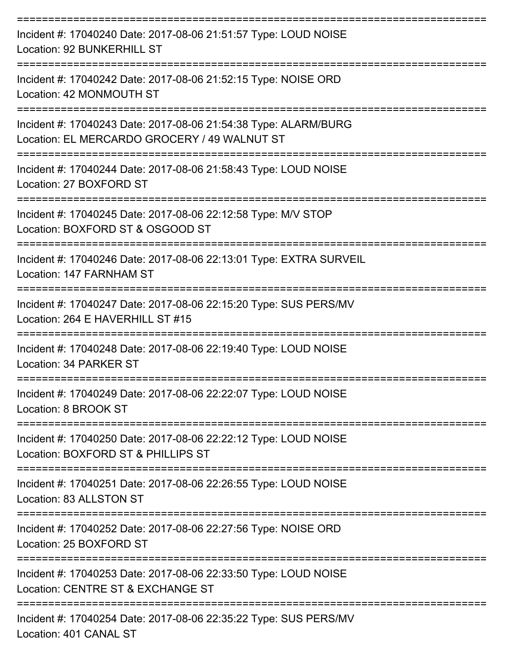| Incident #: 17040240 Date: 2017-08-06 21:51:57 Type: LOUD NOISE<br>Location: 92 BUNKERHILL ST                                   |
|---------------------------------------------------------------------------------------------------------------------------------|
| Incident #: 17040242 Date: 2017-08-06 21:52:15 Type: NOISE ORD<br>Location: 42 MONMOUTH ST                                      |
| Incident #: 17040243 Date: 2017-08-06 21:54:38 Type: ALARM/BURG<br>Location: EL MERCARDO GROCERY / 49 WALNUT ST                 |
| Incident #: 17040244 Date: 2017-08-06 21:58:43 Type: LOUD NOISE<br>Location: 27 BOXFORD ST                                      |
| Incident #: 17040245 Date: 2017-08-06 22:12:58 Type: M/V STOP<br>Location: BOXFORD ST & OSGOOD ST                               |
| Incident #: 17040246 Date: 2017-08-06 22:13:01 Type: EXTRA SURVEIL<br>Location: 147 FARNHAM ST                                  |
| Incident #: 17040247 Date: 2017-08-06 22:15:20 Type: SUS PERS/MV<br>Location: 264 E HAVERHILL ST #15                            |
| Incident #: 17040248 Date: 2017-08-06 22:19:40 Type: LOUD NOISE<br>Location: 34 PARKER ST                                       |
| Incident #: 17040249 Date: 2017-08-06 22:22:07 Type: LOUD NOISE<br>Location: 8 BROOK ST                                         |
| ------------------<br>Incident #: 17040250 Date: 2017-08-06 22:22:12 Type: LOUD NOISE<br>Location: BOXFORD ST & PHILLIPS ST     |
| Incident #: 17040251 Date: 2017-08-06 22:26:55 Type: LOUD NOISE<br>Location: 83 ALLSTON ST                                      |
| -=================================<br>Incident #: 17040252 Date: 2017-08-06 22:27:56 Type: NOISE ORD<br>Location: 25 BOXFORD ST |
| Incident #: 17040253 Date: 2017-08-06 22:33:50 Type: LOUD NOISE<br>Location: CENTRE ST & EXCHANGE ST                            |
| Incident #: 17040254 Date: 2017-08-06 22:35:22 Type: SUS PERS/MV<br>Location: 401 CANAL ST                                      |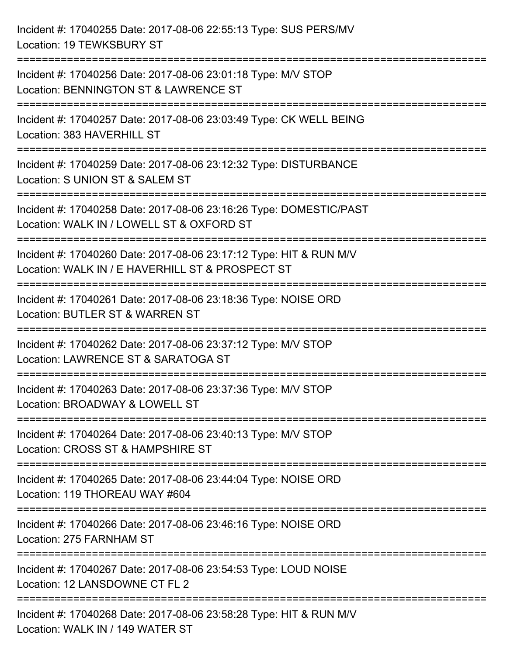| Incident #: 17040255 Date: 2017-08-06 22:55:13 Type: SUS PERS/MV<br>Location: 19 TEWKSBURY ST                                                |
|----------------------------------------------------------------------------------------------------------------------------------------------|
| Incident #: 17040256 Date: 2017-08-06 23:01:18 Type: M/V STOP<br>Location: BENNINGTON ST & LAWRENCE ST                                       |
| Incident #: 17040257 Date: 2017-08-06 23:03:49 Type: CK WELL BEING<br>Location: 383 HAVERHILL ST<br>:===================================     |
| Incident #: 17040259 Date: 2017-08-06 23:12:32 Type: DISTURBANCE<br>Location: S UNION ST & SALEM ST                                          |
| Incident #: 17040258 Date: 2017-08-06 23:16:26 Type: DOMESTIC/PAST<br>Location: WALK IN / LOWELL ST & OXFORD ST<br>:======================== |
| Incident #: 17040260 Date: 2017-08-06 23:17:12 Type: HIT & RUN M/V<br>Location: WALK IN / E HAVERHILL ST & PROSPECT ST                       |
| Incident #: 17040261 Date: 2017-08-06 23:18:36 Type: NOISE ORD<br>Location: BUTLER ST & WARREN ST                                            |
| Incident #: 17040262 Date: 2017-08-06 23:37:12 Type: M/V STOP<br>Location: LAWRENCE ST & SARATOGA ST                                         |
| Incident #: 17040263 Date: 2017-08-06 23:37:36 Type: M/V STOP<br>Location: BROADWAY & LOWELL ST                                              |
| Incident #: 17040264 Date: 2017-08-06 23:40:13 Type: M/V STOP<br>Location: CROSS ST & HAMPSHIRE ST                                           |
| Incident #: 17040265 Date: 2017-08-06 23:44:04 Type: NOISE ORD<br>Location: 119 THOREAU WAY #604                                             |
| Incident #: 17040266 Date: 2017-08-06 23:46:16 Type: NOISE ORD<br>Location: 275 FARNHAM ST                                                   |
| Incident #: 17040267 Date: 2017-08-06 23:54:53 Type: LOUD NOISE<br>Location: 12 LANSDOWNE CT FL 2                                            |
| Incident #: 17040268 Date: 2017-08-06 23:58:28 Type: HIT & RUN M/V<br>Location: WALK IN / 149 WATER ST                                       |